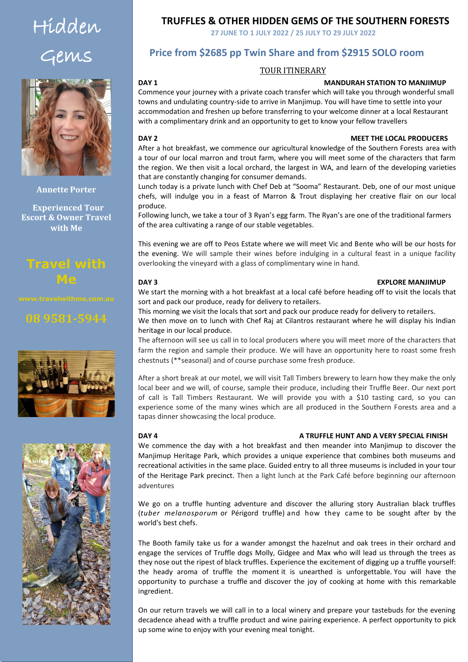# Hidden Gems



**Annette Porter**

 **Experienced Tour Escort & Owner Travel with Me**

## **Travel with Me**





### **TRUFFLES & OTHER HIDDEN GEMS OF THE SOUTHERN FORESTS**

**27 JUNE TO 1 JULY 2022 / 25 JULY TO 29 JULY 2022** 

### **Price from \$2685 pp Twin Share and from \$2915 SOLO room**

### TOUR ITINERARY

### **DAY 1 MANDURAH STATION TO MANJIMUP**

Commence your journey with a private coach transfer which will take you through wonderful small towns and undulating country-side to arrive in Manjimup. You will have time to settle into your accommodation and freshen up before transferring to your welcome dinner at a local Restaurant with a complimentary drink and an opportunity to get to know your fellow travellers

### all the time watching the river bank, the water and the sky for wildlife and birds. We will take **DAY 2 MEET THE LOCAL PRODUCERS**

After a hot breakfast, we commence our agricultural knowledge of the Southern Forests area with a tour of our local marron and trout farm, where you will meet some of the characters that farm the region. We then visit a local orchard, the largest in WA, and learn of the developing varieties that are constantly changing for consumer demands.

Lunch today is a private lunch with Chef Deb at "Sooma" Restaurant. Deb, one of our most unique chefs, will indulge you in a feast of Marron & Trout displaying her creative flair on our local produce.

Following lunch, we take a tour of 3 Ryan's egg farm. The Ryan's are one of the traditional farmers of the area cultivating a range of our stable vegetables.

This evening we are off to Peos Estate where we will meet Vic and Bente who will be our hosts for the evening. We will sample their wines before indulging in a cultural feast in a unique facility overlooking the vineyard with a glass of complimentary wine in hand.

### **DAY 3 EXPLORE MANJIMUP**

We start the morning with a hot breakfast at a local café before heading off to visit the locals that sort and pack our produce, ready for delivery to retailers.

This morning we visit the locals that sort and pack our produce ready for delivery to retailers.

We then move on to lunch with Chef Raj at Cilantros restaurant where he will display his Indian heritage in our local produce.

The afternoon will see us call in to local producers where you will meet more of the characters that farm the region and sample their produce. We will have an opportunity here to roast some fresh chestnuts (\*\*seasonal) and of course purchase some fresh produce.

After a short break at our motel, we will visit Tall Timbers brewery to learn how they make the only local beer and we will, of course, sample their produce, including their Truffle Beer. Our next port of call is Tall Timbers Restaurant. We will provide you with a \$10 tasting card, so you can experience some of the many wines which are all produced in the Southern Forests area and a tapas dinner showcasing the local produce.

### **DAY 4 A TRUFFLE HUNT AND A VERY SPECIAL FINISH**

We commence the day with a hot breakfast and then meander into Manjimup to discover the Manjimup Heritage Park, which provides a unique experience that combines both museums and recreational activities in the same place. Guided entry to all three museums is included in your tour of the Heritage Park precinct. Then a light lunch at the Park Café before beginning our afternoon adventures

We go on a truffle hunting adventure and discover the alluring story Australian black truffles (*tuber melanosporum* or Périgord truffle) and how they came to be sought after by the world's best chefs.

The Booth family take us for a wander amongst the hazelnut and oak trees in their orchard and engage the services of Truffle dogs Molly, Gidgee and Max who will lead us through the trees as they nose out the ripest of black truffles. Experience the excitement of digging up a truffle yourself: the heady aroma of truffle the moment it is unearthed is unforgettable. You will have the opportunity to purchase a truffle and discover the joy of cooking at home with this remarkable ingredient.

On our return travels we will call in to a local winery and prepare your tastebuds for the evening decadence ahead with a truffle product and wine pairing experience. A perfect opportunity to pick up some wine to enjoy with your evening meal tonight.